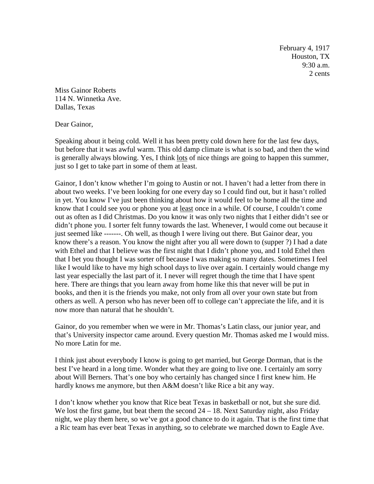February 4, 1917 Houston, TX 9:30 a.m. 2 cents

Miss Gainor Roberts 114 N. Winnetka Ave. Dallas, Texas

Dear Gainor,

Speaking about it being cold. Well it has been pretty cold down here for the last few days, but before that it was awful warm. This old damp climate is what is so bad, and then the wind is generally always blowing. Yes, I think lots of nice things are going to happen this summer, just so I get to take part in some of them at least.

Gainor, I don't know whether I'm going to Austin or not. I haven't had a letter from there in about two weeks. I've been looking for one every day so I could find out, but it hasn't rolled in yet. You know I've just been thinking about how it would feel to be home all the time and know that I could see you or phone you at <u>least</u> once in a while. Of course, I couldn't come out as often as I did Christmas. Do you know it was only two nights that I either didn't see or didn't phone you. I sorter felt funny towards the last. Whenever, I would come out because it just seemed like -------. Oh well, as though I were living out there. But Gainor dear, you know there's a reason. You know the night after you all were down to (supper ?) I had a date with Ethel and that I believe was the first night that I didn't phone you, and I told Ethel then that I bet you thought I was sorter off because I was making so many dates. Sometimes I feel like I would like to have my high school days to live over again. I certainly would change my last year especially the last part of it. I never will regret though the time that I have spent here. There are things that you learn away from home like this that never will be put in books, and then it is the friends you make, not only from all over your own state but from others as well. A person who has never been off to college can't appreciate the life, and it is now more than natural that he shouldn't.

Gainor, do you remember when we were in Mr. Thomas's Latin class, our junior year, and that's University inspector came around. Every question Mr. Thomas asked me I would miss. No more Latin for me.

I think just about everybody I know is going to get married, but George Dorman, that is the best I've heard in a long time. Wonder what they are going to live one. I certainly am sorry about Will Berners. That's one boy who certainly has changed since I first knew him. He hardly knows me anymore, but then A&M doesn't like Rice a bit any way.

I don't know whether you know that Rice beat Texas in basketball or not, but she sure did. We lost the first game, but beat them the second  $24 - 18$ . Next Saturday night, also Friday night, we play them here, so we've got a good chance to do it again. That is the first time that a Ric team has ever beat Texas in anything, so to celebrate we marched down to Eagle Ave.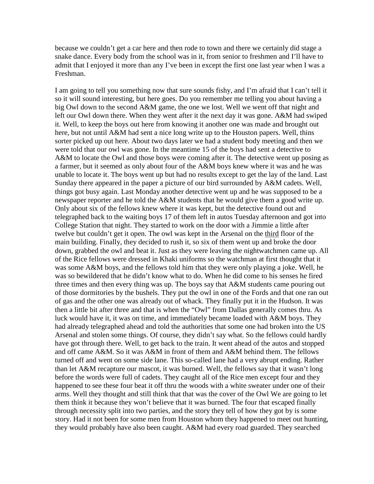because we couldn't get a car here and then rode to town and there we certainly did stage a snake dance. Every body from the school was in it, from senior to freshmen and I'll have to admit that I enjoyed it more than any I've been in except the first one last year when I was a Freshman.

I am going to tell you something now that sure sounds fishy, and I'm afraid that I can't tell it so it will sound interesting, but here goes. Do you remember me telling you about having a big Owl down to the second A&M game, the one we lost. Well we went off that night and left our Owl down there. When they went after it the next day it was gone. A&M had swiped it. Well, to keep the boys out here from knowing it another one was made and brought out here, but not until A&M had sent a nice long write up to the Houston papers. Well, thins sorter picked up out here. About two days later we had a student body meeting and then we were told that our owl was gone. In the meantime 15 of the boys had sent a detective to A&M to locate the Owl and those boys were coming after it. The detective went up posing as a farmer, but it seemed as only about four of the A&M boys knew where it was and he was unable to locate it. The boys went up but had no results except to get the lay of the land. Last Sunday there appeared in the paper a picture of our bird surrounded by A&M cadets. Well, things got busy again. Last Monday another detective went up and he was supposed to be a newspaper reporter and he told the A&M students that he would give them a good write up. Only about six of the fellows knew where it was kept, but the detective found out and telegraphed back to the waiting boys 17 of them left in autos Tuesday afternoon and got into College Station that night. They started to work on the door with a Jimmie a little after twelve but couldn't get it open. The owl was kept in the Arsenal on the third floor of the main building. Finally, they decided to rush it, so six of them went up and broke the door down, grabbed the owl and beat it. Just as they were leaving the nightwatchmen came up. All of the Rice fellows were dressed in Khaki uniforms so the watchman at first thought that it was some A&M boys, and the fellows told him that they were only playing a joke. Well, he was so bewildered that he didn't know what to do. When he did come to his senses he fired three times and then every thing was up. The boys say that A&M students came pouring out of those dormitories by the bushels. They put the owl in one of the Fords and that one ran out of gas and the other one was already out of whack. They finally put it in the Hudson. It was then a little bit after three and that is when the "Owl" from Dallas generally comes thru. As luck would have it, it was on time, and immediately became loaded with A&M boys. They had already telegraphed ahead and told the authorities that some one had broken into the US Arsenal and stolen some things. Of course, they didn't say what. So the fellows could hardly have got through there. Well, to get back to the train. It went ahead of the autos and stopped and off came A&M. So it was A&M in front of them and A&M behind them. The fellows turned off and went on some side lane. This so-called lane had a very abrupt ending. Rather than let A&M recapture our mascot, it was burned. Well, the fellows say that it wasn't long before the words were full of cadets. They caught all of the Rice men except four and they happened to see these four beat it off thru the woods with a white sweater under one of their arms. Well they thought and still think that that was the cover of the Owl We are going to let them think it because they won't believe that it was burned. The four that escaped finally through necessity split into two parties, and the story they tell of how they got by is some story. Had it not been for some men from Houston whom they happened to meet out hunting, they would probably have also been caught. A&M had every road guarded. They searched